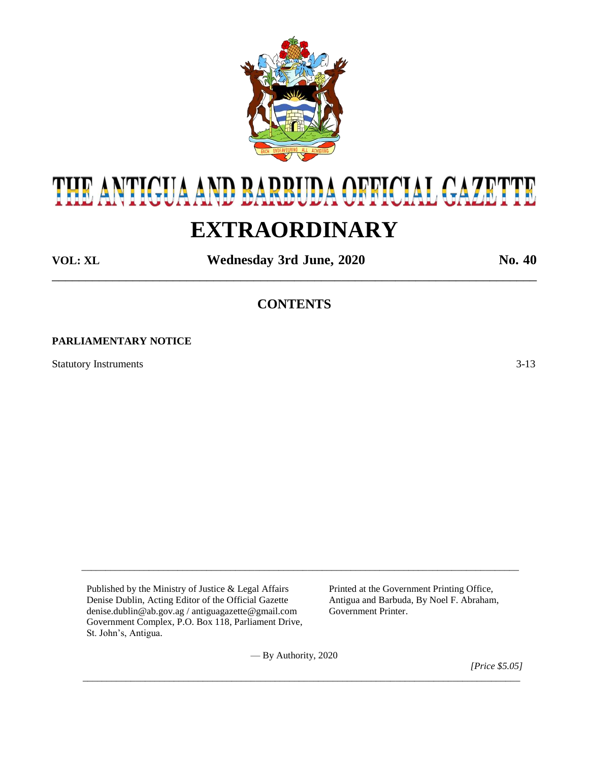

# THE ANTIGUA AND BARBUDA OFFICIAL GAZETT

# **EXTRAORDINARY**

**VOL: XL Wednesday 3rd June, 2020 No. 40**

**CONTENTS**

\_\_\_\_\_\_\_\_\_\_\_\_\_\_\_\_\_\_\_\_\_\_\_\_\_\_\_\_\_\_\_\_\_\_\_\_\_\_\_\_\_\_\_\_\_\_\_\_\_\_\_\_\_\_\_\_\_\_\_\_\_\_\_\_\_\_\_\_\_\_\_\_

# **PARLIAMENTARY NOTICE**

Statutory Instruments 3-13

Published by the Ministry of Justice & Legal Affairs Printed at the Government Printing Office, Denise Dublin, Acting Editor of the Official Gazette Antigua and Barbuda, By Noel F. Abraham, denise.dublin@ab.gov.ag / antiguagazette@gmail.com Government Printer. Government Complex, P.O. Box 118, Parliament Drive, St. John's, Antigua.

— By Authority, 2020

 $\overline{\phantom{a}}$  ,  $\overline{\phantom{a}}$  ,  $\overline{\phantom{a}}$  ,  $\overline{\phantom{a}}$  ,  $\overline{\phantom{a}}$  ,  $\overline{\phantom{a}}$  ,  $\overline{\phantom{a}}$  ,  $\overline{\phantom{a}}$  ,  $\overline{\phantom{a}}$  ,  $\overline{\phantom{a}}$  ,  $\overline{\phantom{a}}$  ,  $\overline{\phantom{a}}$  ,  $\overline{\phantom{a}}$  ,  $\overline{\phantom{a}}$  ,  $\overline{\phantom{a}}$  ,  $\overline{\phantom{a}}$ 

\_\_\_\_\_\_\_\_\_\_\_\_\_\_\_\_\_\_\_\_\_\_\_\_\_\_\_\_\_\_\_\_\_\_\_\_\_\_\_\_\_\_\_\_\_\_\_\_\_\_\_\_\_\_\_\_\_\_\_\_\_\_\_\_\_\_\_\_\_\_\_\_\_\_\_\_\_\_\_\_\_\_\_\_\_\_\_\_\_\_\_

 *[Price \$5.05]*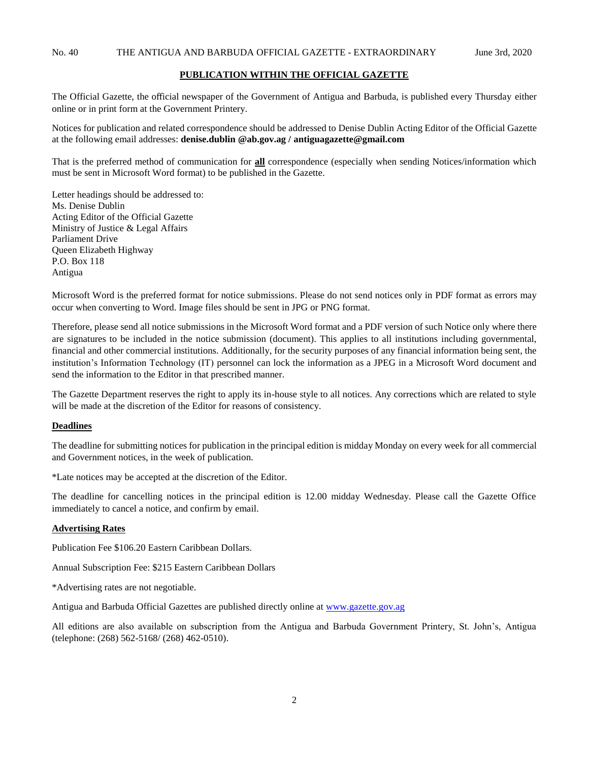# **PUBLICATION WITHIN THE OFFICIAL GAZETTE**

The Official Gazette, the official newspaper of the Government of Antigua and Barbuda, is published every Thursday either online or in print form at the Government Printery.

Notices for publication and related correspondence should be addressed to Denise Dublin Acting Editor of the Official Gazette at the following email addresses: **denise.dublin @ab.gov.ag / antiguagazette@gmail.com**

That is the preferred method of communication for **all** correspondence (especially when sending Notices/information which must be sent in Microsoft Word format) to be published in the Gazette.

Letter headings should be addressed to: Ms. Denise Dublin Acting Editor of the Official Gazette Ministry of Justice & Legal Affairs Parliament Drive Queen Elizabeth Highway P.O. Box 118 Antigua

Microsoft Word is the preferred format for notice submissions. Please do not send notices only in PDF format as errors may occur when converting to Word. Image files should be sent in JPG or PNG format.

Therefore, please send all notice submissions in the Microsoft Word format and a PDF version of such Notice only where there are signatures to be included in the notice submission (document). This applies to all institutions including governmental, financial and other commercial institutions. Additionally, for the security purposes of any financial information being sent, the institution's Information Technology (IT) personnel can lock the information as a JPEG in a Microsoft Word document and send the information to the Editor in that prescribed manner.

The Gazette Department reserves the right to apply its in-house style to all notices. Any corrections which are related to style will be made at the discretion of the Editor for reasons of consistency.

#### **Deadlines**

The deadline for submitting notices for publication in the principal edition is midday Monday on every week for all commercial and Government notices, in the week of publication.

\*Late notices may be accepted at the discretion of the Editor.

The deadline for cancelling notices in the principal edition is 12.00 midday Wednesday. Please call the Gazette Office immediately to cancel a notice, and confirm by email.

#### **Advertising Rates**

Publication Fee \$106.20 Eastern Caribbean Dollars.

Annual Subscription Fee: \$215 Eastern Caribbean Dollars

\*Advertising rates are not negotiable.

Antigua and Barbuda Official Gazettes are published directly online at [www.gazette.gov.ag](http://www.gazette.gov.ag/)

All editions are also available on subscription from the Antigua and Barbuda Government Printery, St. John's, Antigua (telephone: (268) 562-5168/ (268) 462-0510).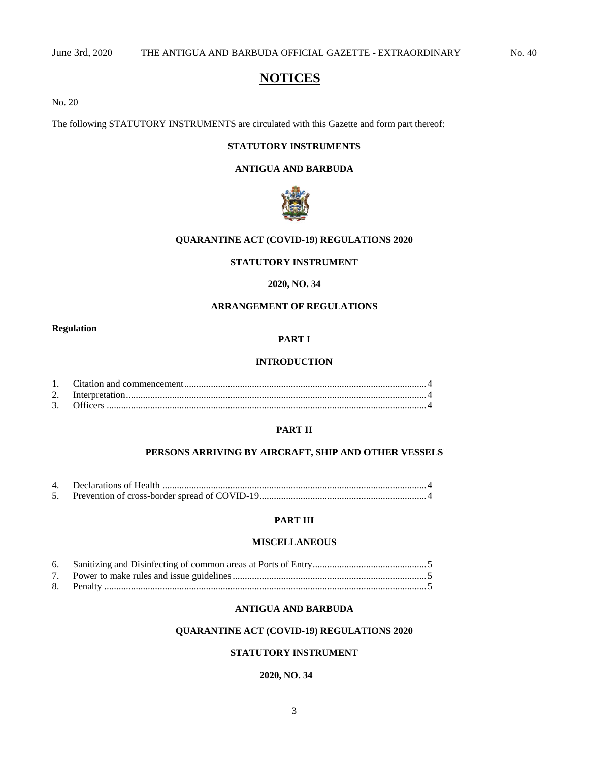# **NOTICES**

No. 20

The following STATUTORY INSTRUMENTS are circulated with this Gazette and form part thereof:

# **STATUTORY INSTRUMENTS**

#### **ANTIGUA AND BARBUDA**



# **QUARANTINE ACT (COVID-19) REGULATIONS 2020**

# **STATUTORY INSTRUMENT**

# **2020, NO. 34**

# **ARRANGEMENT OF REGULATIONS**

**Regulation**

# **PART I**

# **INTRODUCTION**

#### **PART II**

# **PERSONS ARRIVING BY AIRCRAFT, SHIP AND OTHER VESSELS**

# **PART III**

# **MISCELLANEOUS**

# **ANTIGUA AND BARBUDA**

# **QUARANTINE ACT (COVID-19) REGULATIONS 2020**

# **STATUTORY INSTRUMENT**

#### **2020, NO. 34**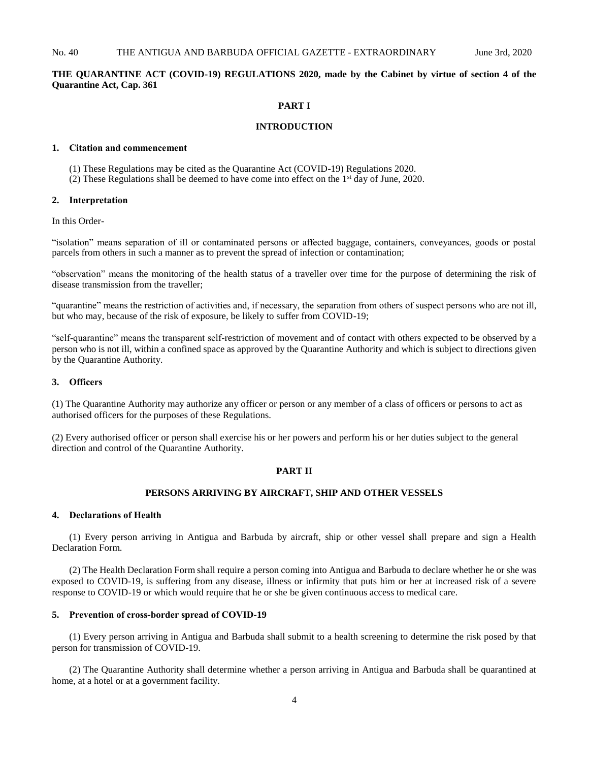# **THE QUARANTINE ACT (COVID-19) REGULATIONS 2020, made by the Cabinet by virtue of section 4 of the Quarantine Act, Cap. 361**

#### **PART I**

#### **INTRODUCTION**

#### <span id="page-3-0"></span>**1. Citation and commencement**

(1) These Regulations may be cited as the Quarantine Act (COVID-19) Regulations 2020.

(2) These Regulations shall be deemed to have come into effect on the  $1<sup>st</sup>$  day of June, 2020.

#### <span id="page-3-1"></span>**2. Interpretation**

In this Order-

"isolation" means separation of ill or contaminated persons or affected baggage, containers, conveyances, goods or postal parcels from others in such a manner as to prevent the spread of infection or contamination;

"observation" means the monitoring of the health status of a traveller over time for the purpose of determining the risk of disease transmission from the traveller;

"quarantine" means the restriction of activities and, if necessary, the separation from others of suspect persons who are not ill, but who may, because of the risk of exposure, be likely to suffer from COVID-19;

"self-quarantine" means the transparent self-restriction of movement and of contact with others expected to be observed by a person who is not ill, within a confined space as approved by the Quarantine Authority and which is subject to directions given by the Quarantine Authority.

#### <span id="page-3-2"></span>**3. Officers**

(1) The Quarantine Authority may authorize any officer or person or any member of a class of officers or persons to act as authorised officers for the purposes of these Regulations.

(2) Every authorised officer or person shall exercise his or her powers and perform his or her duties subject to the general direction and control of the Quarantine Authority.

#### **PART II**

#### **PERSONS ARRIVING BY AIRCRAFT, SHIP AND OTHER VESSELS**

#### <span id="page-3-3"></span>**4. Declarations of Health**

(1) Every person arriving in Antigua and Barbuda by aircraft, ship or other vessel shall prepare and sign a Health Declaration Form.

(2) The Health Declaration Form shall require a person coming into Antigua and Barbuda to declare whether he or she was exposed to COVID-19, is suffering from any disease, illness or infirmity that puts him or her at increased risk of a severe response to COVID-19 or which would require that he or she be given continuous access to medical care.

#### <span id="page-3-4"></span>**5. Prevention of cross-border spread of COVID-19**

(1) Every person arriving in Antigua and Barbuda shall submit to a health screening to determine the risk posed by that person for transmission of COVID-19.

(2) The Quarantine Authority shall determine whether a person arriving in Antigua and Barbuda shall be quarantined at home, at a hotel or at a government facility.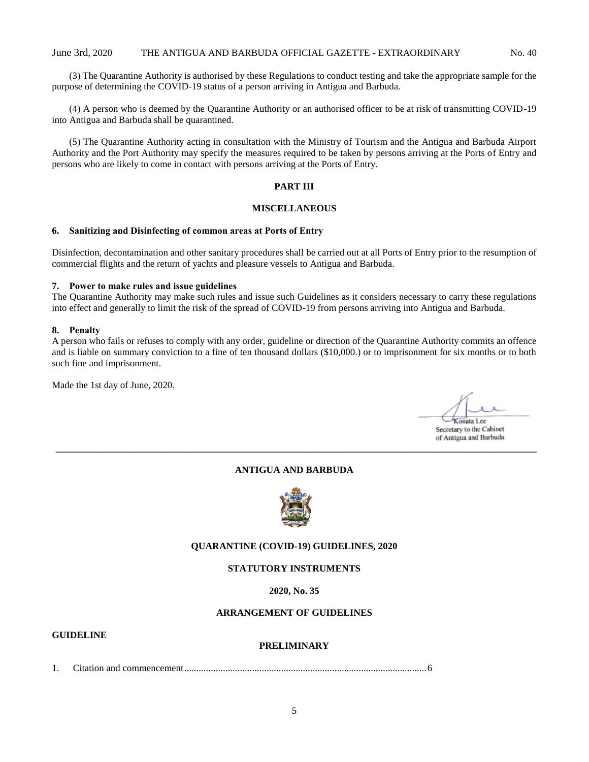(3) The Quarantine Authority is authorised by these Regulations to conduct testing and take the appropriate sample for the purpose of determining the COVID-19 status of a person arriving in Antigua and Barbuda.

(4) A person who is deemed by the Quarantine Authority or an authorised officer to be at risk of transmitting COVID-19 into Antigua and Barbuda shall be quarantined.

(5) The Quarantine Authority acting in consultation with the Ministry of Tourism and the Antigua and Barbuda Airport Authority and the Port Authority may specify the measures required to be taken by persons arriving at the Ports of Entry and persons who are likely to come in contact with persons arriving at the Ports of Entry.

# **PART III**

#### **MISCELLANEOUS**

#### <span id="page-4-0"></span>**6. Sanitizing and Disinfecting of common areas at Ports of Entry**

Disinfection, decontamination and other sanitary procedures shall be carried out at all Ports of Entry prior to the resumption of commercial flights and the return of yachts and pleasure vessels to Antigua and Barbuda.

# <span id="page-4-1"></span>**7. Power to make rules and issue guidelines**

The Quarantine Authority may make such rules and issue such Guidelines as it considers necessary to carry these regulations into effect and generally to limit the risk of the spread of COVID-19 from persons arriving into Antigua and Barbuda.

#### <span id="page-4-2"></span>**8. Penalty**

A person who fails or refuses to comply with any order, guideline or direction of the Quarantine Authority commits an offence and is liable on summary conviction to a fine of ten thousand dollars (\$10,000.) or to imprisonment for six months or to both such fine and imprisonment.

Made the 1st day of June, 2020.

Konata Lee Secretary to the Cabinet of Antigua and Barbuda

# **ANTIGUA AND BARBUDA**

**\_\_\_\_\_\_\_\_\_\_\_\_\_\_\_\_\_\_\_\_\_\_\_\_\_\_\_\_\_\_\_\_\_\_\_\_\_\_\_\_\_\_\_\_\_\_\_\_\_\_\_\_\_\_\_\_\_\_\_\_\_\_\_\_\_\_\_\_\_\_\_\_\_\_\_\_\_\_\_\_\_\_\_\_\_\_\_\_\_\_\_\_\_\_\_\_\_\_\_\_**



# **QUARANTINE (COVID-19) GUIDELINES, 2020**

# **STATUTORY INSTRUMENTS**

**2020, No. 35**

# **ARRANGEMENT OF GUIDELINES**

#### **GUIDELINE**

# **PRELIMINARY**

1. [Citation and commencement....................................................................................................6](#page-5-0)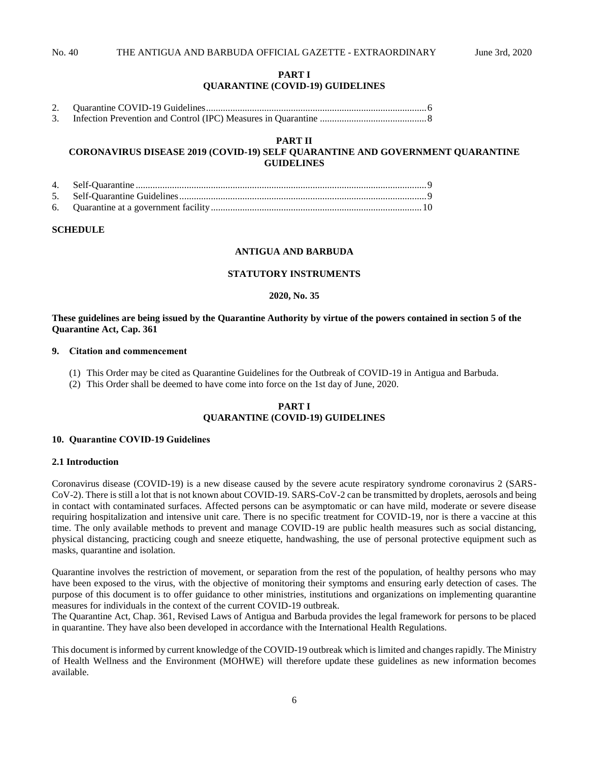#### **PART I QUARANTINE (COVID-19) GUIDELINES**

2. [Quarantine COVID-19 Guidelines...........................................................................................6](#page-5-1) 3. [Infection Prevention and Control \(IPC\) Measures in Quarantine](#page-7-0) ............................................8

#### **PART II**

# **CORONAVIRUS DISEASE 2019 (COVID-19) SELF QUARANTINE AND GOVERNMENT QUARANTINE GUIDELINES**

#### **SCHEDULE**

#### **ANTIGUA AND BARBUDA**

#### **STATUTORY INSTRUMENTS**

#### **2020, No. 35**

#### **These guidelines are being issued by the Quarantine Authority by virtue of the powers contained in section 5 of the Quarantine Act, Cap. 361**

#### <span id="page-5-0"></span>**9. Citation and commencement**

- (1) This Order may be cited as Quarantine Guidelines for the Outbreak of COVID-19 in Antigua and Barbuda.
- (2) This Order shall be deemed to have come into force on the 1st day of June, 2020.

#### **PART I QUARANTINE (COVID-19) GUIDELINES**

#### <span id="page-5-1"></span>**10. Quarantine COVID-19 Guidelines**

#### **2.1 Introduction**

Coronavirus disease (COVID-19) is a new disease caused by the severe acute respiratory syndrome coronavirus 2 (SARS-CoV-2). There is still a lot that is not known about COVID-19. SARS-CoV-2 can be transmitted by droplets, aerosols and being in contact with contaminated surfaces. Affected persons can be asymptomatic or can have mild, moderate or severe disease requiring hospitalization and intensive unit care. There is no specific treatment for COVID-19, nor is there a vaccine at this time. The only available methods to prevent and manage COVID-19 are public health measures such as social distancing, physical distancing, practicing cough and sneeze etiquette, handwashing, the use of personal protective equipment such as masks, quarantine and isolation.

Quarantine involves the restriction of movement, or separation from the rest of the population, of healthy persons who may have been exposed to the virus, with the objective of monitoring their symptoms and ensuring early detection of cases. The purpose of this document is to offer guidance to other ministries, institutions and organizations on implementing quarantine measures for individuals in the context of the current COVID-19 outbreak.

The Quarantine Act, Chap. 361, Revised Laws of Antigua and Barbuda provides the legal framework for persons to be placed in quarantine. They have also been developed in accordance with the International Health Regulations.

This document is informed by current knowledge of the COVID-19 outbreak which is limited and changes rapidly. The Ministry of Health Wellness and the Environment (MOHWE) will therefore update these guidelines as new information becomes available.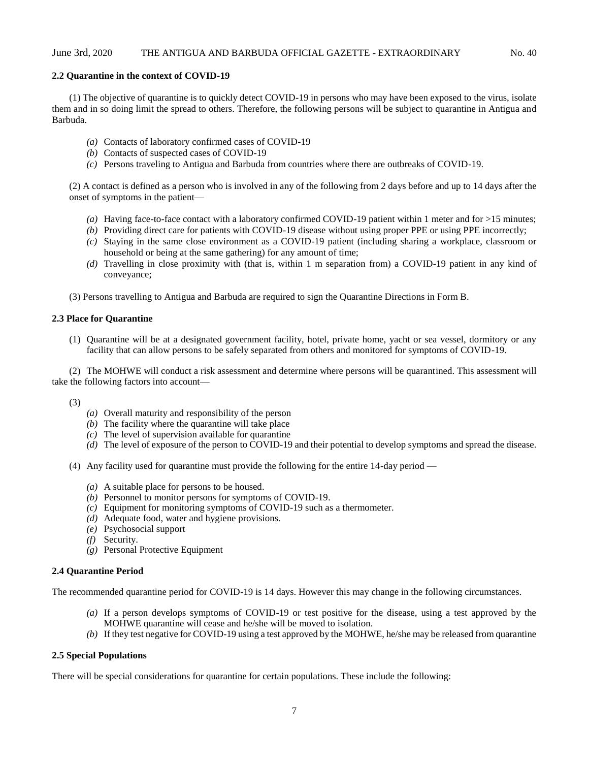# **2.2 Quarantine in the context of COVID-19**

(1) The objective of quarantine is to quickly detect COVID-19 in persons who may have been exposed to the virus, isolate them and in so doing limit the spread to others. Therefore, the following persons will be subject to quarantine in Antigua and Barbuda.

- *(a)* Contacts of laboratory confirmed cases of COVID-19
- *(b)* Contacts of suspected cases of COVID-19
- *(c)* Persons traveling to Antigua and Barbuda from countries where there are outbreaks of COVID-19.

(2) A contact is defined as a person who is involved in any of the following from 2 days before and up to 14 days after the onset of symptoms in the patient—

- *(a)* Having face-to-face contact with a laboratory confirmed COVID-19 patient within 1 meter and for >15 minutes;
- *(b)* Providing direct care for patients with COVID-19 disease without using proper PPE or using PPE incorrectly;
- *(c)* Staying in the same close environment as a COVID-19 patient (including sharing a workplace, classroom or household or being at the same gathering) for any amount of time;
- *(d)* Travelling in close proximity with (that is, within 1 m separation from) a COVID-19 patient in any kind of conveyance;

(3) Persons travelling to Antigua and Barbuda are required to sign the Quarantine Directions in Form B.

# **2.3 Place for Quarantine**

(1) Quarantine will be at a designated government facility, hotel, private home, yacht or sea vessel, dormitory or any facility that can allow persons to be safely separated from others and monitored for symptoms of COVID-19.

(2) The MOHWE will conduct a risk assessment and determine where persons will be quarantined. This assessment will take the following factors into account—

(3)

- *(a)* Overall maturity and responsibility of the person
- *(b)* The facility where the quarantine will take place
- *(c)* The level of supervision available for quarantine
- *(d)* The level of exposure of the person to COVID-19 and their potential to develop symptoms and spread the disease.

(4) Any facility used for quarantine must provide the following for the entire 14-day period —

- *(a)* A suitable place for persons to be housed.
- *(b)* Personnel to monitor persons for symptoms of COVID-19.
- *(c)* Equipment for monitoring symptoms of COVID-19 such as a thermometer.
- *(d)* Adequate food, water and hygiene provisions.
- *(e)* Psychosocial support
- *(f)* Security.
- *(g)* Personal Protective Equipment

# **2.4 Quarantine Period**

The recommended quarantine period for COVID-19 is 14 days. However this may change in the following circumstances.

- *(a)* If a person develops symptoms of COVID-19 or test positive for the disease, using a test approved by the MOHWE quarantine will cease and he/she will be moved to isolation.
- *(b)* If they test negative for COVID-19 using a test approved by the MOHWE, he/she may be released from quarantine

# **2.5 Special Populations**

There will be special considerations for quarantine for certain populations. These include the following: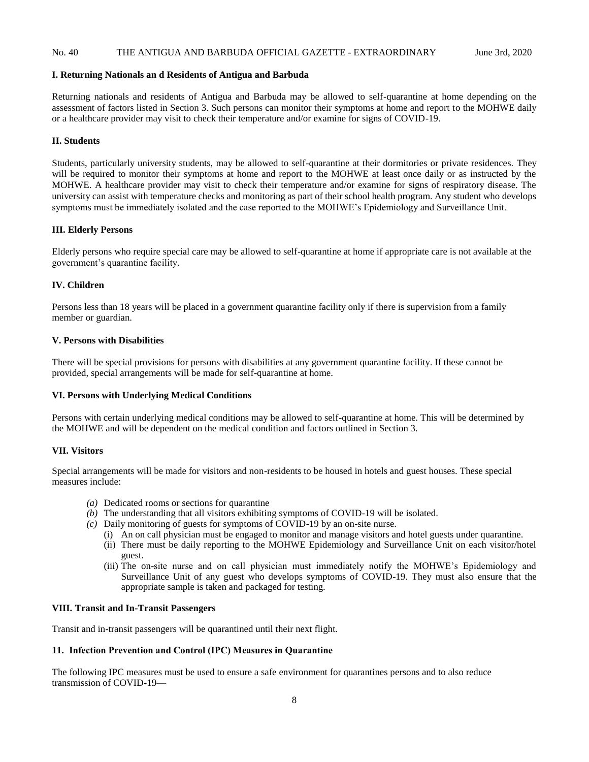#### **I. Returning Nationals an d Residents of Antigua and Barbuda**

Returning nationals and residents of Antigua and Barbuda may be allowed to self-quarantine at home depending on the assessment of factors listed in Section 3. Such persons can monitor their symptoms at home and report to the MOHWE daily or a healthcare provider may visit to check their temperature and/or examine for signs of COVID-19.

# **II. Students**

Students, particularly university students, may be allowed to self-quarantine at their dormitories or private residences. They will be required to monitor their symptoms at home and report to the MOHWE at least once daily or as instructed by the MOHWE. A healthcare provider may visit to check their temperature and/or examine for signs of respiratory disease. The university can assist with temperature checks and monitoring as part of their school health program. Any student who develops symptoms must be immediately isolated and the case reported to the MOHWE's Epidemiology and Surveillance Unit.

# **III. Elderly Persons**

Elderly persons who require special care may be allowed to self-quarantine at home if appropriate care is not available at the government's quarantine facility.

# **IV. Children**

Persons less than 18 years will be placed in a government quarantine facility only if there is supervision from a family member or guardian.

#### **V. Persons with Disabilities**

There will be special provisions for persons with disabilities at any government quarantine facility. If these cannot be provided, special arrangements will be made for self-quarantine at home.

#### **VI. Persons with Underlying Medical Conditions**

Persons with certain underlying medical conditions may be allowed to self-quarantine at home. This will be determined by the MOHWE and will be dependent on the medical condition and factors outlined in Section 3.

#### **VII. Visitors**

Special arrangements will be made for visitors and non-residents to be housed in hotels and guest houses. These special measures include:

- *(a)* Dedicated rooms or sections for quarantine
- *(b)* The understanding that all visitors exhibiting symptoms of COVID-19 will be isolated.
- *(c)* Daily monitoring of guests for symptoms of COVID-19 by an on-site nurse.
	- (i) An on call physician must be engaged to monitor and manage visitors and hotel guests under quarantine.
		- (ii) There must be daily reporting to the MOHWE Epidemiology and Surveillance Unit on each visitor/hotel guest.
		- (iii) The on-site nurse and on call physician must immediately notify the MOHWE's Epidemiology and Surveillance Unit of any guest who develops symptoms of COVID-19. They must also ensure that the appropriate sample is taken and packaged for testing.

#### **VIII. Transit and In-Transit Passengers**

Transit and in-transit passengers will be quarantined until their next flight.

# <span id="page-7-0"></span>**11. Infection Prevention and Control (IPC) Measures in Quarantine**

The following IPC measures must be used to ensure a safe environment for quarantines persons and to also reduce transmission of COVID-19—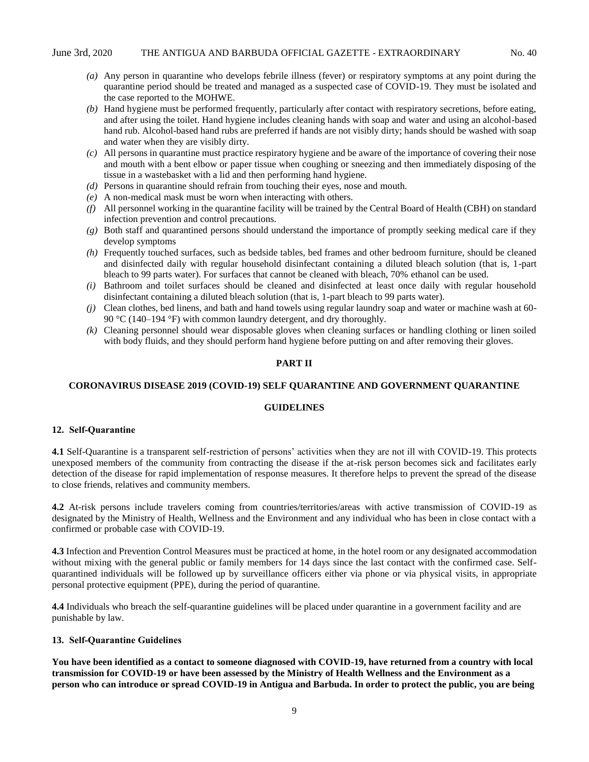- *(a)* Any person in quarantine who develops febrile illness (fever) or respiratory symptoms at any point during the quarantine period should be treated and managed as a suspected case of COVID-19. They must be isolated and the case reported to the MOHWE.
- *(b)* Hand hygiene must be performed frequently, particularly after contact with respiratory secretions, before eating, and after using the toilet. Hand hygiene includes cleaning hands with soap and water and using an alcohol-based hand rub. Alcohol-based hand rubs are preferred if hands are not visibly dirty; hands should be washed with soap and water when they are visibly dirty.
- *(c)* All persons in quarantine must practice respiratory hygiene and be aware of the importance of covering their nose and mouth with a bent elbow or paper tissue when coughing or sneezing and then immediately disposing of the tissue in a wastebasket with a lid and then performing hand hygiene.
- *(d)* Persons in quarantine should refrain from touching their eyes, nose and mouth.
- *(e)* A non-medical mask must be worn when interacting with others.
- *(f)* All personnel working in the quarantine facility will be trained by the Central Board of Health (CBH) on standard infection prevention and control precautions.
- *(g)* Both staff and quarantined persons should understand the importance of promptly seeking medical care if they develop symptoms
- *(h)* Frequently touched surfaces, such as bedside tables, bed frames and other bedroom furniture, should be cleaned and disinfected daily with regular household disinfectant containing a diluted bleach solution (that is, 1-part bleach to 99 parts water). For surfaces that cannot be cleaned with bleach, 70% ethanol can be used.
- *(i)* Bathroom and toilet surfaces should be cleaned and disinfected at least once daily with regular household disinfectant containing a diluted bleach solution (that is, 1-part bleach to 99 parts water).
- *(j)* Clean clothes, bed linens, and bath and hand towels using regular laundry soap and water or machine wash at 60- 90 °C (140–194 °F) with common laundry detergent, and dry thoroughly.
- *(k)* Cleaning personnel should wear disposable gloves when cleaning surfaces or handling clothing or linen soiled with body fluids, and they should perform hand hygiene before putting on and after removing their gloves.

#### **PART II**

# **CORONAVIRUS DISEASE 2019 (COVID-19) SELF QUARANTINE AND GOVERNMENT QUARANTINE**

# **GUIDELINES**

#### <span id="page-8-0"></span>**12. Self-Quarantine**

**4.1** Self-Quarantine is a transparent self-restriction of persons' activities when they are not ill with COVID-19. This protects unexposed members of the community from contracting the disease if the at-risk person becomes sick and facilitates early detection of the disease for rapid implementation of response measures. It therefore helps to prevent the spread of the disease to close friends, relatives and community members.

**4.2** At-risk persons include travelers coming from countries/territories/areas with active transmission of COVID-19 as designated by the Ministry of Health, Wellness and the Environment and any individual who has been in close contact with a confirmed or probable case with COVID-19.

**4.3** Infection and Prevention Control Measures must be practiced at home, in the hotel room or any designated accommodation without mixing with the general public or family members for 14 days since the last contact with the confirmed case. Selfquarantined individuals will be followed up by surveillance officers either via phone or via physical visits, in appropriate personal protective equipment (PPE), during the period of quarantine.

**4.4** Individuals who breach the self-quarantine guidelines will be placed under quarantine in a government facility and are punishable by law.

# <span id="page-8-1"></span>**13. Self-Quarantine Guidelines**

**You have been identified as a contact to someone diagnosed with COVID-19, have returned from a country with local transmission for COVID-19 or have been assessed by the Ministry of Health Wellness and the Environment as a person who can introduce or spread COVID-19 in Antigua and Barbuda. In order to protect the public, you are being**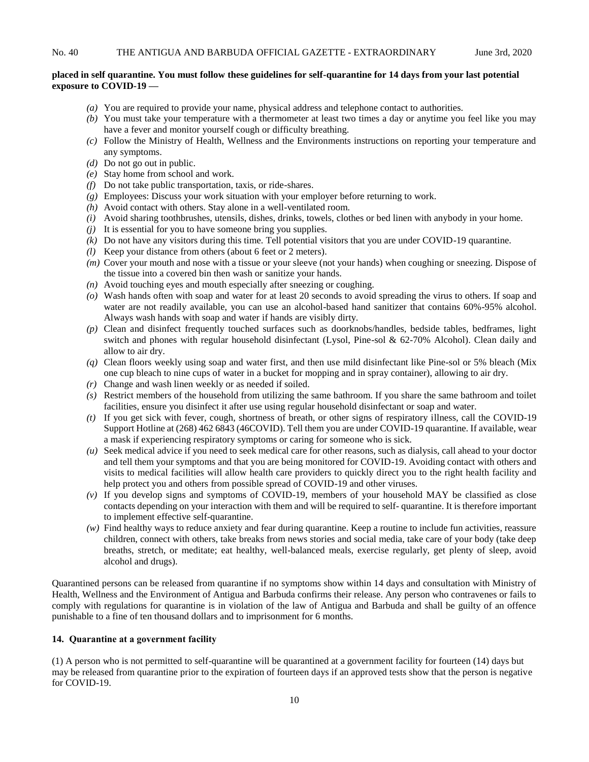# **placed in self quarantine. You must follow these guidelines for self-quarantine for 14 days from your last potential exposure to COVID-19 —**

- *(a)* You are required to provide your name, physical address and telephone contact to authorities.
- *(b)* You must take your temperature with a thermometer at least two times a day or anytime you feel like you may have a fever and monitor yourself cough or difficulty breathing.
- *(c)* Follow the Ministry of Health, Wellness and the Environments instructions on reporting your temperature and any symptoms.
- *(d)* Do not go out in public.
- *(e)* Stay home from school and work.
- *(f)* Do not take public transportation, taxis, or ride-shares.
- *(g)* Employees: Discuss your work situation with your employer before returning to work.
- *(h)* Avoid contact with others. Stay alone in a well-ventilated room.
- *(i)* Avoid sharing toothbrushes, utensils, dishes, drinks, towels, clothes or bed linen with anybody in your home.
- *(j)* It is essential for you to have someone bring you supplies.
- *(k)* Do not have any visitors during this time. Tell potential visitors that you are under COVID-19 quarantine.
- *(l)* Keep your distance from others (about 6 feet or 2 meters).
- *(m)* Cover your mouth and nose with a tissue or your sleeve (not your hands) when coughing or sneezing. Dispose of the tissue into a covered bin then wash or sanitize your hands.
- *(n)* Avoid touching eyes and mouth especially after sneezing or coughing.
- *(o)* Wash hands often with soap and water for at least 20 seconds to avoid spreading the virus to others. If soap and water are not readily available, you can use an alcohol-based hand sanitizer that contains 60%-95% alcohol. Always wash hands with soap and water if hands are visibly dirty.
- *(p)* Clean and disinfect frequently touched surfaces such as doorknobs/handles, bedside tables, bedframes, light switch and phones with regular household disinfectant (Lysol, Pine-sol & 62-70% Alcohol). Clean daily and allow to air dry.
- *(q)* Clean floors weekly using soap and water first, and then use mild disinfectant like Pine-sol or 5% bleach (Mix one cup bleach to nine cups of water in a bucket for mopping and in spray container), allowing to air dry.
- *(r)* Change and wash linen weekly or as needed if soiled.
- *(s)* Restrict members of the household from utilizing the same bathroom. If you share the same bathroom and toilet facilities, ensure you disinfect it after use using regular household disinfectant or soap and water.
- *(t)* If you get sick with fever, cough, shortness of breath, or other signs of respiratory illness, call the COVID-19 Support Hotline at (268) 462 6843 (46COVID). Tell them you are under COVID-19 quarantine. If available, wear a mask if experiencing respiratory symptoms or caring for someone who is sick.
- *(u)* Seek medical advice if you need to seek medical care for other reasons, such as dialysis, call ahead to your doctor and tell them your symptoms and that you are being monitored for COVID-19. Avoiding contact with others and visits to medical facilities will allow health care providers to quickly direct you to the right health facility and help protect you and others from possible spread of COVID-19 and other viruses.
- *(v)* If you develop signs and symptoms of COVID-19, members of your household MAY be classified as close contacts depending on your interaction with them and will be required to self- quarantine. It is therefore important to implement effective self-quarantine.
- *(w)* Find healthy ways to reduce anxiety and fear during quarantine. Keep a routine to include fun activities, reassure children, connect with others, take breaks from news stories and social media, take care of your body (take deep breaths, stretch, or meditate; eat healthy, well-balanced meals, exercise regularly, get plenty of sleep, avoid alcohol and drugs).

Quarantined persons can be released from quarantine if no symptoms show within 14 days and consultation with Ministry of Health, Wellness and the Environment of Antigua and Barbuda confirms their release. Any person who contravenes or fails to comply with regulations for quarantine is in violation of the law of Antigua and Barbuda and shall be guilty of an offence punishable to a fine of ten thousand dollars and to imprisonment for 6 months.

#### <span id="page-9-0"></span>**14. Quarantine at a government facility**

(1) A person who is not permitted to self-quarantine will be quarantined at a government facility for fourteen (14) days but may be released from quarantine prior to the expiration of fourteen days if an approved tests show that the person is negative for COVID-19.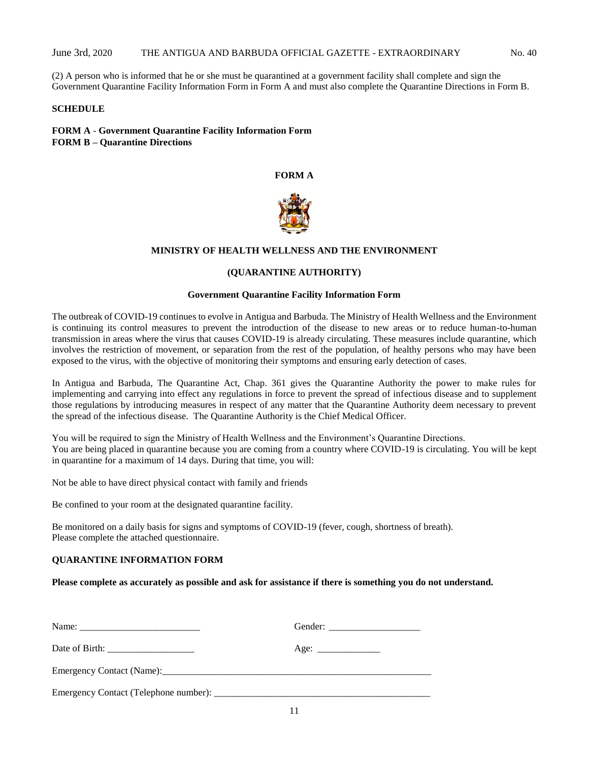#### June 3rd, 2020 THE ANTIGUA AND BARBUDA OFFICIAL GAZETTE - EXTRAORDINARY No. 40

(2) A person who is informed that he or she must be quarantined at a government facility shall complete and sign the Government Quarantine Facility Information Form in Form A and must also complete the Quarantine Directions in Form B.

#### **SCHEDULE**

**FORM A** - **Government Quarantine Facility Information Form FORM B – Quarantine Directions**

# **FORM A**



#### **MINISTRY OF HEALTH WELLNESS AND THE ENVIRONMENT**

# **(QUARANTINE AUTHORITY)**

#### **Government Quarantine Facility Information Form**

The outbreak of COVID-19 continues to evolve in Antigua and Barbuda. The Ministry of Health Wellness and the Environment is continuing its control measures to prevent the introduction of the disease to new areas or to reduce human-to-human transmission in areas where the virus that causes COVID-19 is already circulating. These measures include quarantine, which involves the restriction of movement, or separation from the rest of the population, of healthy persons who may have been exposed to the virus, with the objective of monitoring their symptoms and ensuring early detection of cases.

In Antigua and Barbuda, The Quarantine Act, Chap. 361 gives the Quarantine Authority the power to make rules for implementing and carrying into effect any regulations in force to prevent the spread of infectious disease and to supplement those regulations by introducing measures in respect of any matter that the Quarantine Authority deem necessary to prevent the spread of the infectious disease. The Quarantine Authority is the Chief Medical Officer.

You will be required to sign the Ministry of Health Wellness and the Environment's Quarantine Directions. You are being placed in quarantine because you are coming from a country where COVID-19 is circulating. You will be kept in quarantine for a maximum of 14 days. During that time, you will:

Not be able to have direct physical contact with family and friends

Be confined to your room at the designated quarantine facility.

Be monitored on a daily basis for signs and symptoms of COVID-19 (fever, cough, shortness of breath). Please complete the attached questionnaire.

#### **QUARANTINE INFORMATION FORM**

#### **Please complete as accurately as possible and ask for assistance if there is something you do not understand.**

| Date of Birth: $\frac{1}{\frac{1}{2} \cdot \frac{1}{2} \cdot \frac{1}{2} \cdot \frac{1}{2} \cdot \frac{1}{2} \cdot \frac{1}{2} \cdot \frac{1}{2} \cdot \frac{1}{2} \cdot \frac{1}{2} \cdot \frac{1}{2} \cdot \frac{1}{2} \cdot \frac{1}{2} \cdot \frac{1}{2} \cdot \frac{1}{2} \cdot \frac{1}{2} \cdot \frac{1}{2} \cdot \frac{1}{2} \cdot \frac{1}{2} \cdot \frac{1}{2} \cdot \frac{1}{2} \cdot \frac{1}{2} \cdot \frac{1}{2} \cdot \frac$ | Age: |  |
|---------------------------------------------------------------------------------------------------------------------------------------------------------------------------------------------------------------------------------------------------------------------------------------------------------------------------------------------------------------------------------------------------------------------------------------------|------|--|
|                                                                                                                                                                                                                                                                                                                                                                                                                                             |      |  |
|                                                                                                                                                                                                                                                                                                                                                                                                                                             |      |  |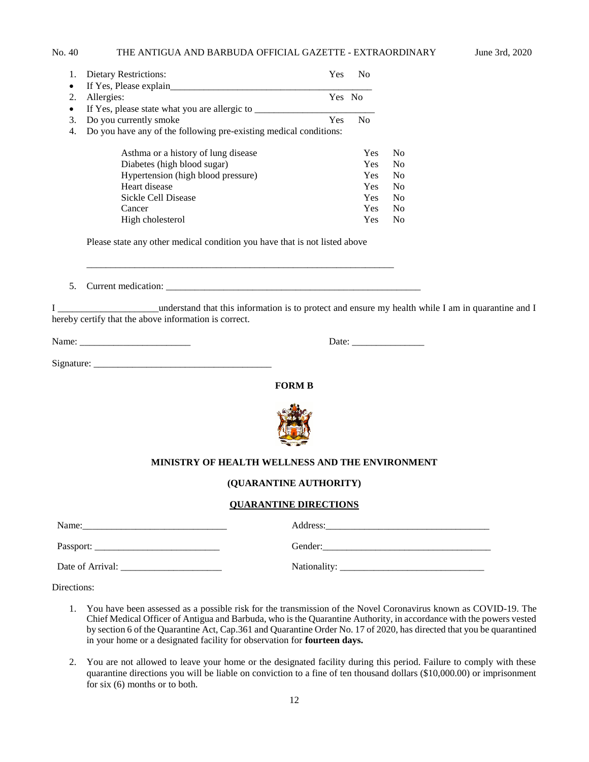# No. 40 THE ANTIGUA AND BARBUDA OFFICIAL GAZETTE - EXTRAORDINARY June 3rd, 2020

|           | <b>Dietary Restrictions:</b><br>Yes                               |  | N <sub>0</sub> |                |
|-----------|-------------------------------------------------------------------|--|----------------|----------------|
| $\bullet$ | If Yes, Please explain                                            |  |                |                |
| 2.        | Allergies:                                                        |  | Yes No         |                |
|           | If Yes, please state what you are allergic to                     |  |                |                |
| 3.        | Yes<br>Do you currently smoke                                     |  | N <sub>0</sub> |                |
| 4.        | Do you have any of the following pre-existing medical conditions: |  |                |                |
|           |                                                                   |  |                |                |
|           | Asthma or a history of lung disease                               |  | Yes            | N <sub>0</sub> |
|           | Diabetes (high blood sugar)                                       |  | <b>Yes</b>     | N <sub>0</sub> |
|           | Hypertension (high blood pressure)                                |  | Yes            | N <sub>o</sub> |
|           | Heart disease                                                     |  | Yes            | N <sub>0</sub> |
|           | Sickle Cell Disease                                               |  | Yes            | N <sub>0</sub> |
|           | Cancer                                                            |  | Yes            | N <sub>0</sub> |
|           | High cholesterol                                                  |  | Yes            | N <sub>0</sub> |

Please state any other medical condition you have that is not listed above

\_\_\_\_\_\_\_\_\_\_\_\_\_\_\_\_\_\_\_\_\_\_\_\_\_\_\_\_\_\_\_\_\_\_\_\_\_\_\_\_\_\_\_\_\_\_\_\_\_\_\_\_\_\_\_\_\_\_\_\_\_\_\_\_

5. Current medication: \_\_\_\_\_\_\_\_\_\_\_\_\_\_\_\_\_\_\_\_\_\_\_\_\_\_\_\_\_\_\_\_\_\_\_\_\_\_\_\_\_\_\_\_\_\_\_\_\_\_\_\_\_

I \_\_\_\_\_\_\_\_\_\_\_\_\_\_\_\_\_\_\_\_\_understand that this information is to protect and ensure my health while I am in quarantine and I hereby certify that the above information is correct.

Name: \_\_\_\_\_\_\_\_\_\_\_\_\_\_\_\_\_\_\_\_\_\_\_ Date: \_\_\_\_\_\_\_\_\_\_\_\_\_\_\_

| Signature: |  |
|------------|--|
|            |  |

# **FORM B**



#### **MINISTRY OF HEALTH WELLNESS AND THE ENVIRONMENT**

#### **(QUARANTINE AUTHORITY)**

# **QUARANTINE DIRECTIONS**

| Name:            | Address:     |
|------------------|--------------|
| Passport:        | Gender:      |
| Date of Arrival: | Nationality: |

Directions:

- 1. You have been assessed as a possible risk for the transmission of the Novel Coronavirus known as COVID-19. The Chief Medical Officer of Antigua and Barbuda, who is the Quarantine Authority, in accordance with the powers vested by section 6 of the Quarantine Act, Cap.361 and Quarantine Order No. 17 of 2020, has directed that you be quarantined in your home or a designated facility for observation for **fourteen days.**
- 2. You are not allowed to leave your home or the designated facility during this period. Failure to comply with these quarantine directions you will be liable on conviction to a fine of ten thousand dollars (\$10,000.00) or imprisonment for six (6) months or to both.